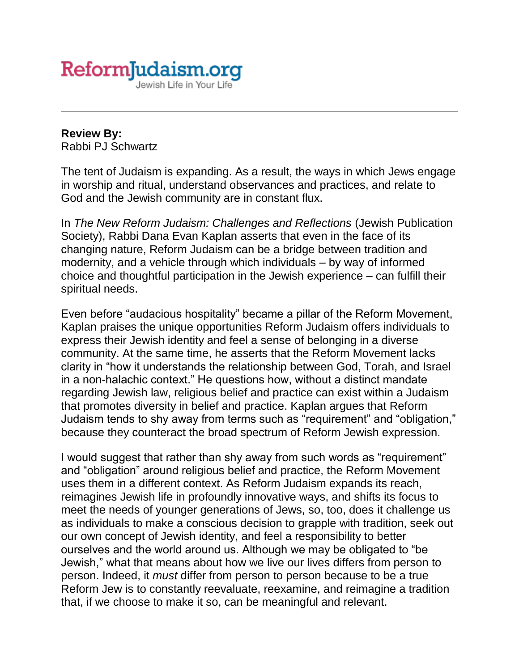

## **Review By:** Rabbi PJ Schwartz

The tent of Judaism is expanding. As a result, the ways in which Jews engage in worship and ritual, understand observances and practices, and relate to God and the Jewish community are in constant flux.

In *[The New Reform Judaism: Challenges and Reflections](https://www.amazon.com/New-Reform-Judaism-Challenges-Reflections/dp/0827609345)* (Jewish Publication Society), Rabbi Dana Evan Kaplan asserts that even in the face of its changing nature, Reform Judaism can be a bridge between tradition and modernity, and a vehicle through which individuals – by way of informed choice and thoughtful participation in the Jewish experience – can fulfill their spiritual needs.

Even before "audacious hospitality" became a pillar of the Reform Movement, Kaplan praises the unique opportunities Reform Judaism offers individuals to express their Jewish identity and feel a sense of belonging in a diverse community. At the same time, he asserts that the Reform Movement lacks clarity in "how it understands the relationship between God, Torah, and Israel in a non-halachic context." He questions how, without a distinct mandate regarding Jewish law, religious belief and practice can exist within a Judaism that promotes diversity in belief and practice. Kaplan argues that Reform Judaism tends to shy away from terms such as "requirement" and "obligation," because they counteract the broad spectrum of Reform Jewish expression.

I would suggest that rather than shy away from such words as "requirement" and "obligation" around religious belief and practice, the Reform Movement uses them in a different context. As Reform Judaism expands its reach, reimagines Jewish life in profoundly innovative ways, and shifts its focus to meet the needs of younger generations of Jews, so, too, does it challenge us as individuals to make a conscious decision to grapple with tradition, seek out our own concept of Jewish identity, and feel a responsibility to better ourselves and the world around us. Although we may be obligated to "be Jewish," what that means about how we live our lives differs from person to person. Indeed, it *must* differ from person to person because to be a true Reform Jew is to constantly reevaluate, reexamine, and reimagine a tradition that, if we choose to make it so, can be meaningful and relevant.